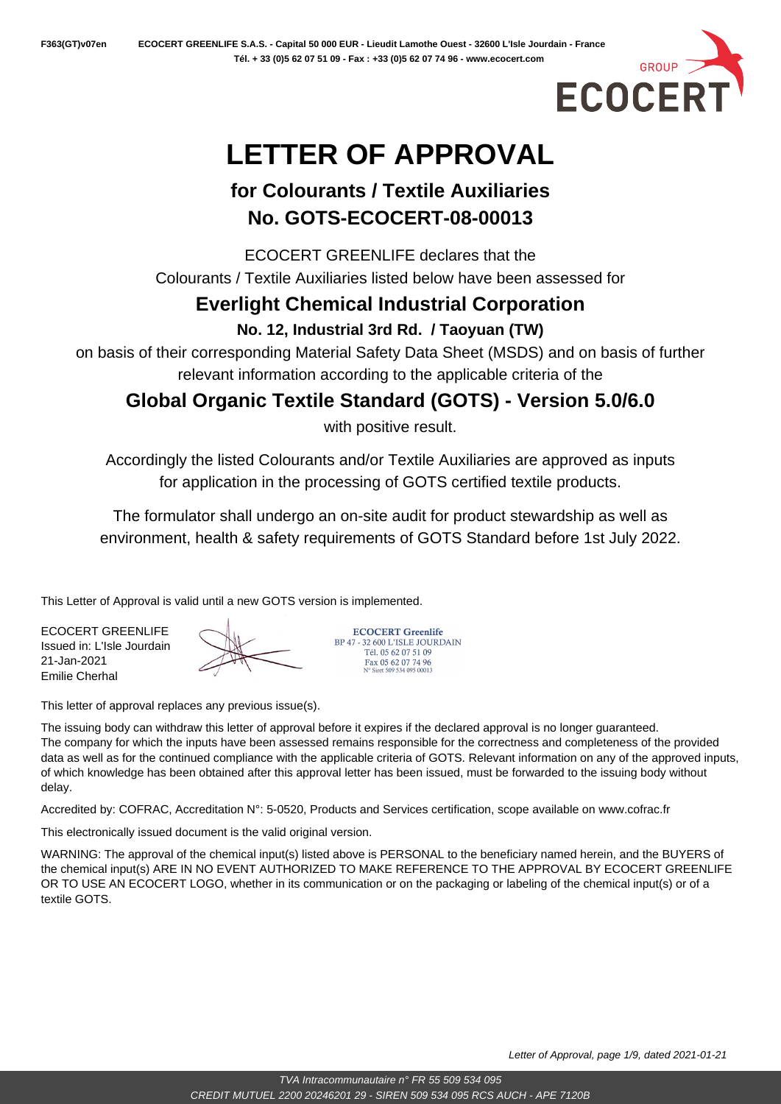

# **LETTER OF APPROVAL**

## **for Colourants / Textile Auxiliaries No. GOTS-ECOCERT-08-00013**

ECOCERT GREENLIFE declares that the Colourants / Textile Auxiliaries listed below have been assessed for

## **Everlight Chemical Industrial Corporation**

**No. 12, Industrial 3rd Rd. / Taoyuan (TW)**

on basis of their corresponding Material Safety Data Sheet (MSDS) and on basis of further relevant information according to the applicable criteria of the

## **Global Organic Textile Standard (GOTS) - Version 5.0/6.0**

with positive result.

Accordingly the listed Colourants and/or Textile Auxiliaries are approved as inputs for application in the processing of GOTS certified textile products.

The formulator shall undergo an on-site audit for product stewardship as well as environment, health & safety requirements of GOTS Standard before 1st July 2022.

This Letter of Approval is valid until a new GOTS version is implemented.

ECOCERT GREENLIFE Issued in: L'Isle Jourdain 21-Jan-2021 Emilie Cherhal

**ECOCERT Greenlife** BP 47 - 32 600 L'ISLE JOURDAIN Tél. 05 62 07 51 09 Fax 05 62 07 74 96<br>N° Siret 509 534 095 00013

This letter of approval replaces any previous issue(s).

The issuing body can withdraw this letter of approval before it expires if the declared approval is no longer guaranteed. The company for which the inputs have been assessed remains responsible for the correctness and completeness of the provided data as well as for the continued compliance with the applicable criteria of GOTS. Relevant information on any of the approved inputs, of which knowledge has been obtained after this approval letter has been issued, must be forwarded to the issuing body without delay.

Accredited by: COFRAC, Accreditation N°: 5-0520, Products and Services certification, scope available on www.cofrac.fr

This electronically issued document is the valid original version.

WARNING: The approval of the chemical input(s) listed above is PERSONAL to the beneficiary named herein, and the BUYERS of the chemical input(s) ARE IN NO EVENT AUTHORIZED TO MAKE REFERENCE TO THE APPROVAL BY ECOCERT GREENLIFE OR TO USE AN ECOCERT LOGO, whether in its communication or on the packaging or labeling of the chemical input(s) or of a textile GOTS.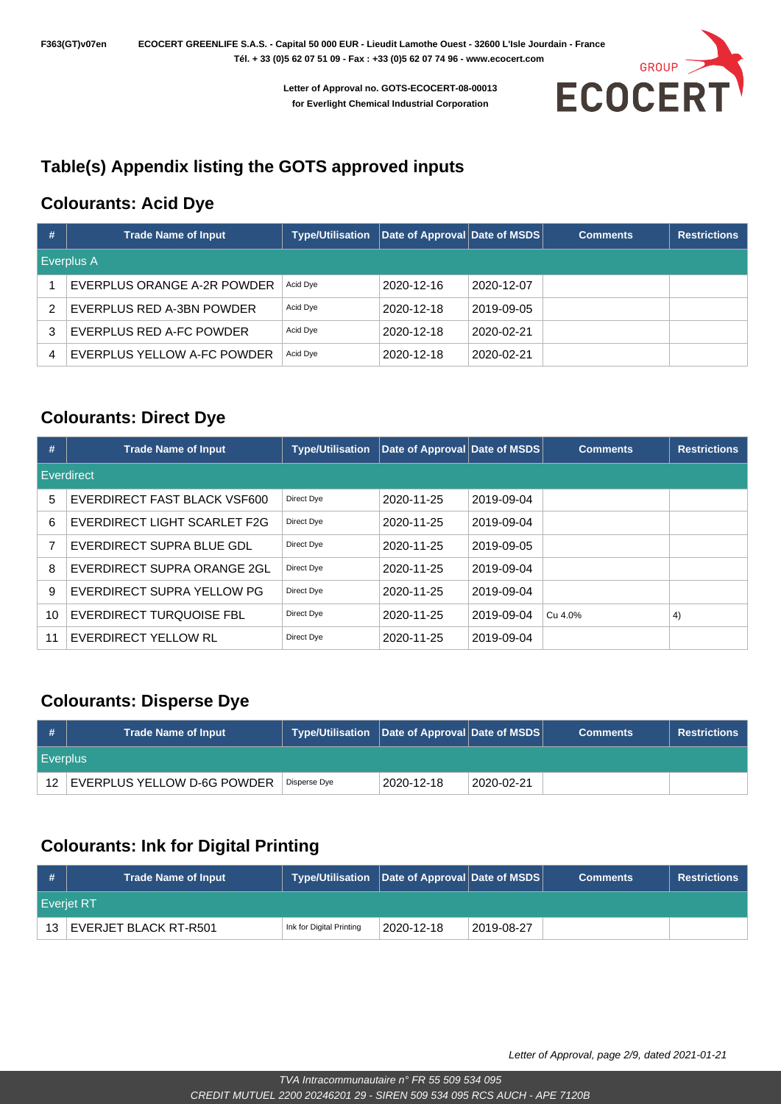

### **Table(s) Appendix listing the GOTS approved inputs**

#### **Colourants: Acid Dye**

| # | <b>Trade Name of Input</b>  | <b>Type/Utilisation</b> | Date of Approval Date of MSDS |            | <b>Comments</b> | <b>Restrictions</b> |  |  |  |
|---|-----------------------------|-------------------------|-------------------------------|------------|-----------------|---------------------|--|--|--|
|   | Everplus A                  |                         |                               |            |                 |                     |  |  |  |
|   | EVERPLUS ORANGE A-2R POWDER | Acid Dye                | 2020-12-16                    | 2020-12-07 |                 |                     |  |  |  |
| 2 | EVERPLUS RED A-3BN POWDER   | Acid Dye                | 2020-12-18                    | 2019-09-05 |                 |                     |  |  |  |
| 3 | EVERPLUS RED A-FC POWDER    | Acid Dye                | 2020-12-18                    | 2020-02-21 |                 |                     |  |  |  |
| 4 | EVERPLUS YELLOW A-FC POWDER | Acid Dye                | 2020-12-18                    | 2020-02-21 |                 |                     |  |  |  |

#### **Colourants: Direct Dye**

| #  | <b>Trade Name of Input</b>   | <b>Type/Utilisation</b> | Date of Approval Date of MSDS |            | <b>Comments</b> | <b>Restrictions</b> |  |  |  |
|----|------------------------------|-------------------------|-------------------------------|------------|-----------------|---------------------|--|--|--|
|    | Everdirect                   |                         |                               |            |                 |                     |  |  |  |
| 5  | EVERDIRECT FAST BLACK VSF600 | Direct Dye              | 2020-11-25                    | 2019-09-04 |                 |                     |  |  |  |
| 6  | EVERDIRECT LIGHT SCARLET F2G | Direct Dye              | 2020-11-25                    | 2019-09-04 |                 |                     |  |  |  |
| 7  | EVERDIRECT SUPRA BLUE GDL    | Direct Dye              | 2020-11-25                    | 2019-09-05 |                 |                     |  |  |  |
| 8  | EVERDIRECT SUPRA ORANGE 2GL  | Direct Dye              | 2020-11-25                    | 2019-09-04 |                 |                     |  |  |  |
| 9  | EVERDIRECT SUPRA YELLOW PG   | Direct Dye              | 2020-11-25                    | 2019-09-04 |                 |                     |  |  |  |
| 10 | EVERDIRECT TURQUOISE FBL     | Direct Dye              | 2020-11-25                    | 2019-09-04 | Cu 4.0%         | 4)                  |  |  |  |
| 11 | EVERDIRECT YELLOW RL         | Direct Dye              | 2020-11-25                    | 2019-09-04 |                 |                     |  |  |  |

#### **Colourants: Disperse Dye**

| #           | <b>Trade Name of Input</b>  | Type/Utilisation Date of Approval Date of MSDS |            |            | <b>Comments</b> | <b>Restrictions</b> |
|-------------|-----------------------------|------------------------------------------------|------------|------------|-----------------|---------------------|
| l Everplus. |                             |                                                |            |            |                 |                     |
| 12          | EVERPLUS YELLOW D-6G POWDER | Disperse Dye                                   | 2020-12-18 | 2020-02-21 |                 |                     |

#### **Colourants: Ink for Digital Printing**

| #  | <b>Trade Name of Input</b> | Type/Utilisation   Date of Approval   Date of MSDS |                  |            | <b>Comments</b> | <b>Restrictions</b> |
|----|----------------------------|----------------------------------------------------|------------------|------------|-----------------|---------------------|
|    | <b>Everiet RT</b>          |                                                    |                  |            |                 |                     |
| 13 | EVERJET BLACK RT-R501      | Ink for Digital Printing                           | $2020 - 12 - 18$ | 2019-08-27 |                 |                     |

Letter of Approval, page 2/9, dated 2021-01-21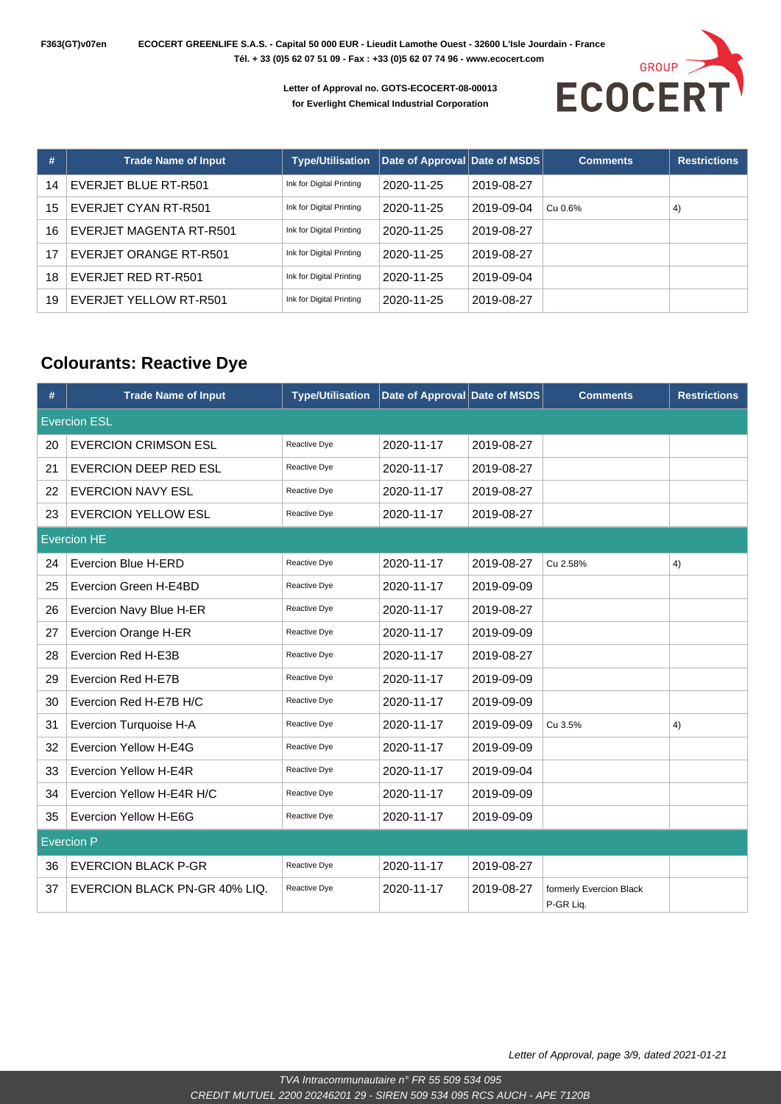**F363(GT)v07en ECOCERT GREENLIFE S.A.S. - Capital 50 000 EUR - Lieudit Lamothe Ouest - 32600 L'Isle Jourdain - France Tél. + 33 (0)5 62 07 51 09 - Fax : +33 (0)5 62 07 74 96 - www.ecocert.com** 

> **Letter of Approval no. GOTS-ECOCERT-08-00013 for Everlight Chemical Industrial Corporation**



| #  | <b>Trade Name of Input</b> | <b>Type/Utilisation</b>  | Date of Approval Date of MSDS |            | <b>Comments</b> | <b>Restrictions</b> |
|----|----------------------------|--------------------------|-------------------------------|------------|-----------------|---------------------|
| 14 | EVERJET BLUE RT-R501       | Ink for Digital Printing | 2020-11-25                    | 2019-08-27 |                 |                     |
| 15 | EVERJET CYAN RT-R501       | Ink for Digital Printing | 2020-11-25                    | 2019-09-04 | Cu 0.6%         | 4)                  |
| 16 | EVERJET MAGENTA RT-R501    | Ink for Digital Printing | 2020-11-25                    | 2019-08-27 |                 |                     |
| 17 | EVERJET ORANGE RT-R501     | Ink for Digital Printing | 2020-11-25                    | 2019-08-27 |                 |                     |
| 18 | EVERJET RED RT-R501        | Ink for Digital Printing | 2020-11-25                    | 2019-09-04 |                 |                     |
| 19 | EVERJET YELLOW RT-R501     | Ink for Digital Printing | 2020-11-25                    | 2019-08-27 |                 |                     |

#### **Colourants: Reactive Dye**

| #  | <b>Trade Name of Input</b>    | <b>Type/Utilisation</b> | Date of Approval Date of MSDS |            | <b>Comments</b>                      | <b>Restrictions</b> |  |  |  |
|----|-------------------------------|-------------------------|-------------------------------|------------|--------------------------------------|---------------------|--|--|--|
|    | <b>Evercion ESL</b>           |                         |                               |            |                                      |                     |  |  |  |
| 20 | <b>EVERCION CRIMSON ESL</b>   | Reactive Dye            | 2020-11-17                    | 2019-08-27 |                                      |                     |  |  |  |
| 21 | EVERCION DEEP RED ESL         | Reactive Dye            | 2020-11-17                    | 2019-08-27 |                                      |                     |  |  |  |
| 22 | <b>EVERCION NAVY ESL</b>      | Reactive Dye            | 2020-11-17                    | 2019-08-27 |                                      |                     |  |  |  |
| 23 | <b>EVERCION YELLOW ESL</b>    | Reactive Dye            | 2020-11-17                    | 2019-08-27 |                                      |                     |  |  |  |
|    | <b>Evercion HE</b>            |                         |                               |            |                                      |                     |  |  |  |
| 24 | Evercion Blue H-ERD           | Reactive Dye            | 2020-11-17                    | 2019-08-27 | Cu 2.58%                             | 4)                  |  |  |  |
| 25 | Evercion Green H-E4BD         | Reactive Dye            | 2020-11-17                    | 2019-09-09 |                                      |                     |  |  |  |
| 26 | Evercion Navy Blue H-ER       | Reactive Dye            | 2020-11-17                    | 2019-08-27 |                                      |                     |  |  |  |
| 27 | Evercion Orange H-ER          | Reactive Dye            | 2020-11-17                    | 2019-09-09 |                                      |                     |  |  |  |
| 28 | Evercion Red H-E3B            | Reactive Dye            | 2020-11-17                    | 2019-08-27 |                                      |                     |  |  |  |
| 29 | Evercion Red H-E7B            | Reactive Dye            | 2020-11-17                    | 2019-09-09 |                                      |                     |  |  |  |
| 30 | Evercion Red H-E7B H/C        | Reactive Dye            | 2020-11-17                    | 2019-09-09 |                                      |                     |  |  |  |
| 31 | Evercion Turquoise H-A        | Reactive Dye            | 2020-11-17                    | 2019-09-09 | Cu 3.5%                              | 4)                  |  |  |  |
| 32 | Evercion Yellow H-E4G         | Reactive Dye            | 2020-11-17                    | 2019-09-09 |                                      |                     |  |  |  |
| 33 | Evercion Yellow H-E4R         | Reactive Dye            | 2020-11-17                    | 2019-09-04 |                                      |                     |  |  |  |
| 34 | Evercion Yellow H-E4R H/C     | Reactive Dye            | 2020-11-17                    | 2019-09-09 |                                      |                     |  |  |  |
| 35 | Evercion Yellow H-E6G         | Reactive Dye            | 2020-11-17                    | 2019-09-09 |                                      |                     |  |  |  |
|    | <b>Evercion P</b>             |                         |                               |            |                                      |                     |  |  |  |
| 36 | <b>EVERCION BLACK P-GR</b>    | Reactive Dye            | 2020-11-17                    | 2019-08-27 |                                      |                     |  |  |  |
| 37 | EVERCION BLACK PN-GR 40% LIQ. | Reactive Dye            | 2020-11-17                    | 2019-08-27 | formerly Evercion Black<br>P-GR Liq. |                     |  |  |  |

Letter of Approval, page 3/9, dated 2021-01-21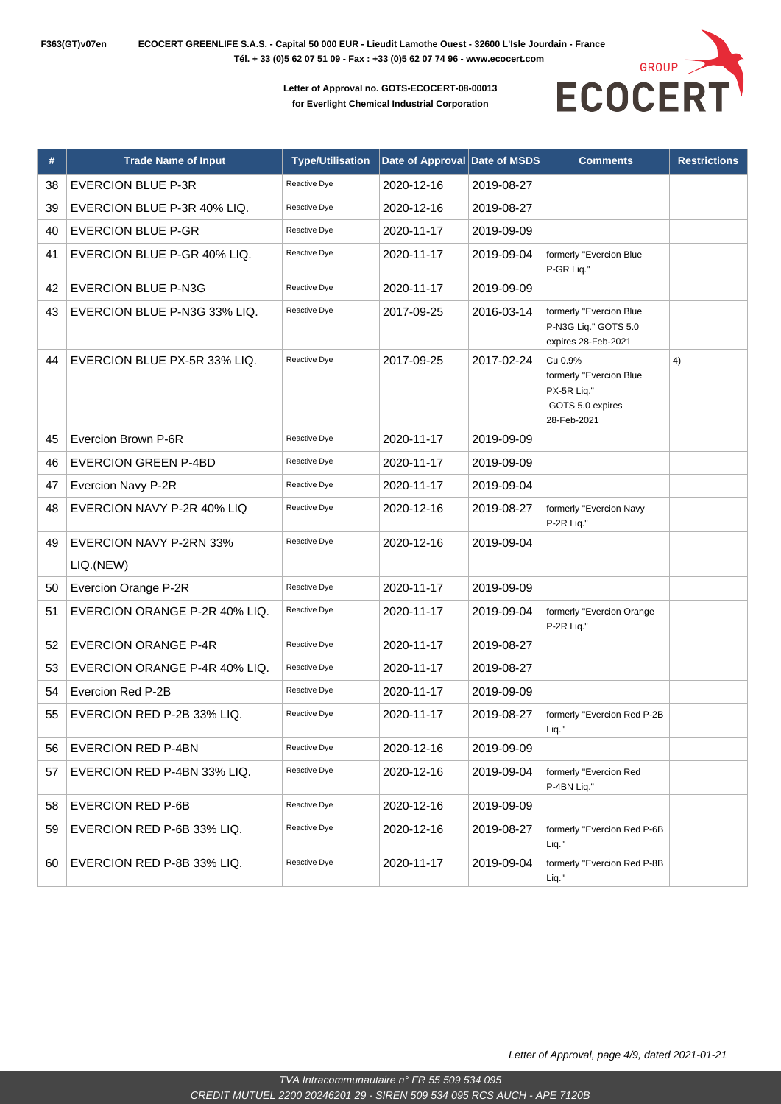

| #  | <b>Trade Name of Input</b>                  | <b>Type/Utilisation</b> | Date of Approval | Date of MSDS | <b>Comments</b>                                                                      | <b>Restrictions</b> |
|----|---------------------------------------------|-------------------------|------------------|--------------|--------------------------------------------------------------------------------------|---------------------|
| 38 | <b>EVERCION BLUE P-3R</b>                   | Reactive Dye            | 2020-12-16       | 2019-08-27   |                                                                                      |                     |
| 39 | EVERCION BLUE P-3R 40% LIQ.                 | Reactive Dye            | 2020-12-16       | 2019-08-27   |                                                                                      |                     |
| 40 | <b>EVERCION BLUE P-GR</b>                   | Reactive Dye            | 2020-11-17       | 2019-09-09   |                                                                                      |                     |
| 41 | EVERCION BLUE P-GR 40% LIQ.                 | Reactive Dye            | 2020-11-17       | 2019-09-04   | formerly "Evercion Blue<br>P-GR Liq."                                                |                     |
| 42 | <b>EVERCION BLUE P-N3G</b>                  | Reactive Dye            | 2020-11-17       | 2019-09-09   |                                                                                      |                     |
| 43 | EVERCION BLUE P-N3G 33% LIQ.                | Reactive Dye            | 2017-09-25       | 2016-03-14   | formerly "Evercion Blue<br>P-N3G Lig." GOTS 5.0<br>expires 28-Feb-2021               |                     |
| 44 | EVERCION BLUE PX-5R 33% LIQ.                | Reactive Dye            | 2017-09-25       | 2017-02-24   | Cu 0.9%<br>formerly "Evercion Blue<br>PX-5R Liq."<br>GOTS 5.0 expires<br>28-Feb-2021 | 4)                  |
| 45 | Evercion Brown P-6R                         | Reactive Dye            | 2020-11-17       | 2019-09-09   |                                                                                      |                     |
| 46 | <b>EVERCION GREEN P-4BD</b>                 | Reactive Dye            | 2020-11-17       | 2019-09-09   |                                                                                      |                     |
| 47 | Evercion Navy P-2R                          | Reactive Dye            | 2020-11-17       | 2019-09-04   |                                                                                      |                     |
| 48 | EVERCION NAVY P-2R 40% LIQ                  | Reactive Dye            | 2020-12-16       | 2019-08-27   | formerly "Evercion Navy<br>P-2R Liq."                                                |                     |
| 49 | <b>EVERCION NAVY P-2RN 33%</b><br>LIQ.(NEW) | Reactive Dye            | 2020-12-16       | 2019-09-04   |                                                                                      |                     |
| 50 | Evercion Orange P-2R                        | Reactive Dye            | 2020-11-17       | 2019-09-09   |                                                                                      |                     |
| 51 | EVERCION ORANGE P-2R 40% LIQ.               | Reactive Dye            | 2020-11-17       | 2019-09-04   | formerly "Evercion Orange<br>P-2R Liq."                                              |                     |
| 52 | <b>EVERCION ORANGE P-4R</b>                 | Reactive Dye            | 2020-11-17       | 2019-08-27   |                                                                                      |                     |
| 53 | EVERCION ORANGE P-4R 40% LIQ.               | Reactive Dye            | 2020-11-17       | 2019-08-27   |                                                                                      |                     |
| 54 | Evercion Red P-2B                           | Reactive Dye            | 2020-11-17       | 2019-09-09   |                                                                                      |                     |
| 55 | EVERCION RED P-2B 33% LIQ.                  | Reactive Dye            | 2020-11-17       | 2019-08-27   | formerly "Evercion Red P-2B<br>Liq."                                                 |                     |
| 56 | <b>EVERCION RED P-4BN</b>                   | Reactive Dye            | 2020-12-16       | 2019-09-09   |                                                                                      |                     |
| 57 | EVERCION RED P-4BN 33% LIQ.                 | Reactive Dye            | 2020-12-16       | 2019-09-04   | formerly "Evercion Red<br>P-4BN Liq."                                                |                     |
| 58 | <b>EVERCION RED P-6B</b>                    | Reactive Dye            | 2020-12-16       | 2019-09-09   |                                                                                      |                     |
| 59 | EVERCION RED P-6B 33% LIQ.                  | Reactive Dye            | 2020-12-16       | 2019-08-27   | formerly "Evercion Red P-6B<br>Liq."                                                 |                     |
| 60 | EVERCION RED P-8B 33% LIQ.                  | Reactive Dye            | 2020-11-17       | 2019-09-04   | formerly "Evercion Red P-8B<br>Liq."                                                 |                     |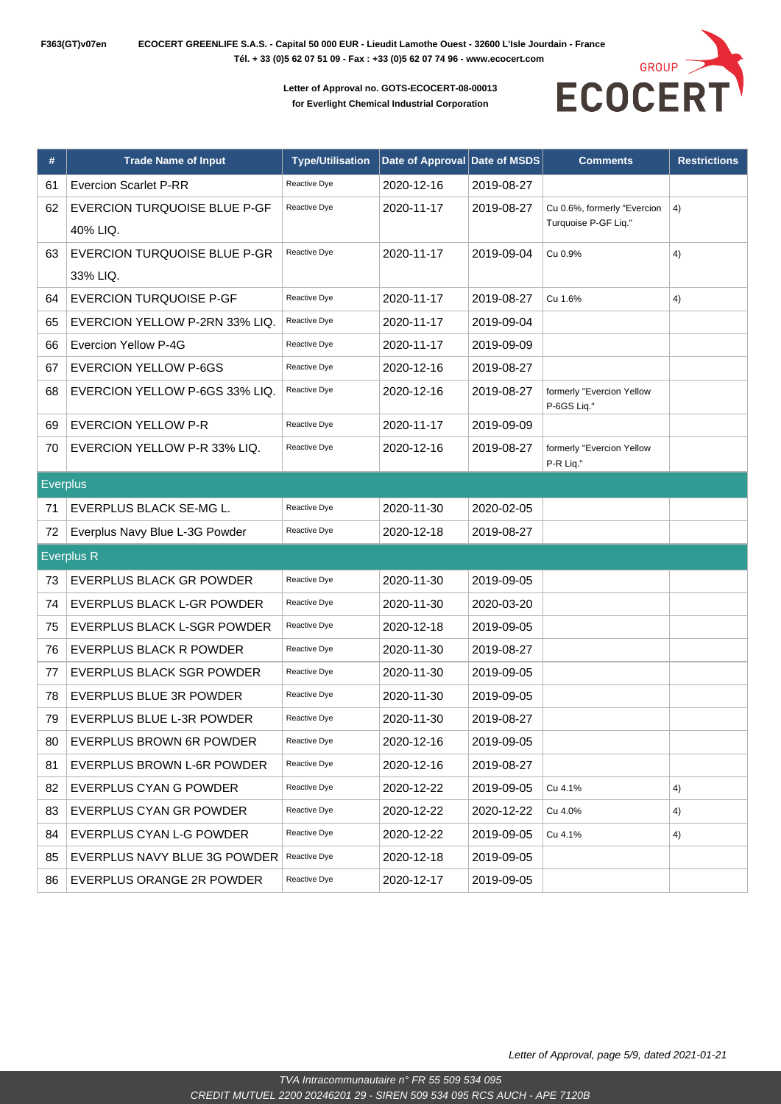

| #               | <b>Trade Name of Input</b>     | <b>Type/Utilisation</b> | Date of Approval Date of MSDS |            | <b>Comments</b>                          | <b>Restrictions</b> |
|-----------------|--------------------------------|-------------------------|-------------------------------|------------|------------------------------------------|---------------------|
| 61              | <b>Evercion Scarlet P-RR</b>   | Reactive Dye            | 2020-12-16                    | 2019-08-27 |                                          |                     |
| 62              | EVERCION TURQUOISE BLUE P-GF   | Reactive Dye            | 2020-11-17                    | 2019-08-27 | Cu 0.6%, formerly "Evercion              | 4)                  |
|                 | 40% LIQ.                       |                         |                               |            | Turquoise P-GF Liq."                     |                     |
| 63              | EVERCION TURQUOISE BLUE P-GR   | Reactive Dye            | 2020-11-17                    | 2019-09-04 | Cu 0.9%                                  | 4)                  |
|                 | 33% LIQ.                       |                         |                               |            |                                          |                     |
| 64              | <b>EVERCION TURQUOISE P-GF</b> | Reactive Dye            | 2020-11-17                    | 2019-08-27 | Cu 1.6%                                  | 4)                  |
| 65              | EVERCION YELLOW P-2RN 33% LIQ. | Reactive Dye            | 2020-11-17                    | 2019-09-04 |                                          |                     |
| 66              | Evercion Yellow P-4G           | Reactive Dye            | 2020-11-17                    | 2019-09-09 |                                          |                     |
| 67              | <b>EVERCION YELLOW P-6GS</b>   | Reactive Dye            | 2020-12-16                    | 2019-08-27 |                                          |                     |
| 68              | EVERCION YELLOW P-6GS 33% LIQ. | Reactive Dye            | 2020-12-16                    | 2019-08-27 | formerly "Evercion Yellow<br>P-6GS Liq." |                     |
| 69              | <b>EVERCION YELLOW P-R</b>     | Reactive Dye            | 2020-11-17                    | 2019-09-09 |                                          |                     |
| 70              | EVERCION YELLOW P-R 33% LIQ.   | Reactive Dye            | 2020-12-16                    | 2019-08-27 | formerly "Evercion Yellow                |                     |
|                 |                                |                         |                               |            | P-R Liq."                                |                     |
| <b>Everplus</b> |                                |                         |                               |            |                                          |                     |
| 71              | EVERPLUS BLACK SE-MG L.        | Reactive Dye            | 2020-11-30                    | 2020-02-05 |                                          |                     |
| 72              | Everplus Navy Blue L-3G Powder | Reactive Dye            | 2020-12-18                    | 2019-08-27 |                                          |                     |
|                 | <b>Everplus R</b>              |                         |                               |            |                                          |                     |
| 73              | EVERPLUS BLACK GR POWDER       | Reactive Dye            | 2020-11-30                    | 2019-09-05 |                                          |                     |
| 74              | EVERPLUS BLACK L-GR POWDER     | Reactive Dye            | 2020-11-30                    | 2020-03-20 |                                          |                     |
| 75              | EVERPLUS BLACK L-SGR POWDER    | Reactive Dye            | 2020-12-18                    | 2019-09-05 |                                          |                     |
| 76              | EVERPLUS BLACK R POWDER        | Reactive Dye            | 2020-11-30                    | 2019-08-27 |                                          |                     |
| 77              | EVERPLUS BLACK SGR POWDER      | Reactive Dye            | 2020-11-30                    | 2019-09-05 |                                          |                     |
| 78              | EVERPLUS BLUE 3R POWDER        | Reactive Dye            | 2020-11-30                    | 2019-09-05 |                                          |                     |
| 79              | EVERPLUS BLUE L-3R POWDER      | Reactive Dye            | 2020-11-30                    | 2019-08-27 |                                          |                     |
| 80              | EVERPLUS BROWN 6R POWDER       | Reactive Dye            | 2020-12-16                    | 2019-09-05 |                                          |                     |
| 81              | EVERPLUS BROWN L-6R POWDER     | Reactive Dye            | 2020-12-16                    | 2019-08-27 |                                          |                     |
| 82              | EVERPLUS CYAN G POWDER         | Reactive Dye            | 2020-12-22                    | 2019-09-05 | Cu 4.1%                                  | 4)                  |
| 83              | EVERPLUS CYAN GR POWDER        | Reactive Dye            | 2020-12-22                    | 2020-12-22 | Cu 4.0%                                  | 4)                  |
| 84              | EVERPLUS CYAN L-G POWDER       | Reactive Dye            | 2020-12-22                    | 2019-09-05 | Cu 4.1%                                  | 4)                  |
| 85              | EVERPLUS NAVY BLUE 3G POWDER   | Reactive Dye            | 2020-12-18                    | 2019-09-05 |                                          |                     |
| 86              | EVERPLUS ORANGE 2R POWDER      | Reactive Dye            | 2020-12-17                    | 2019-09-05 |                                          |                     |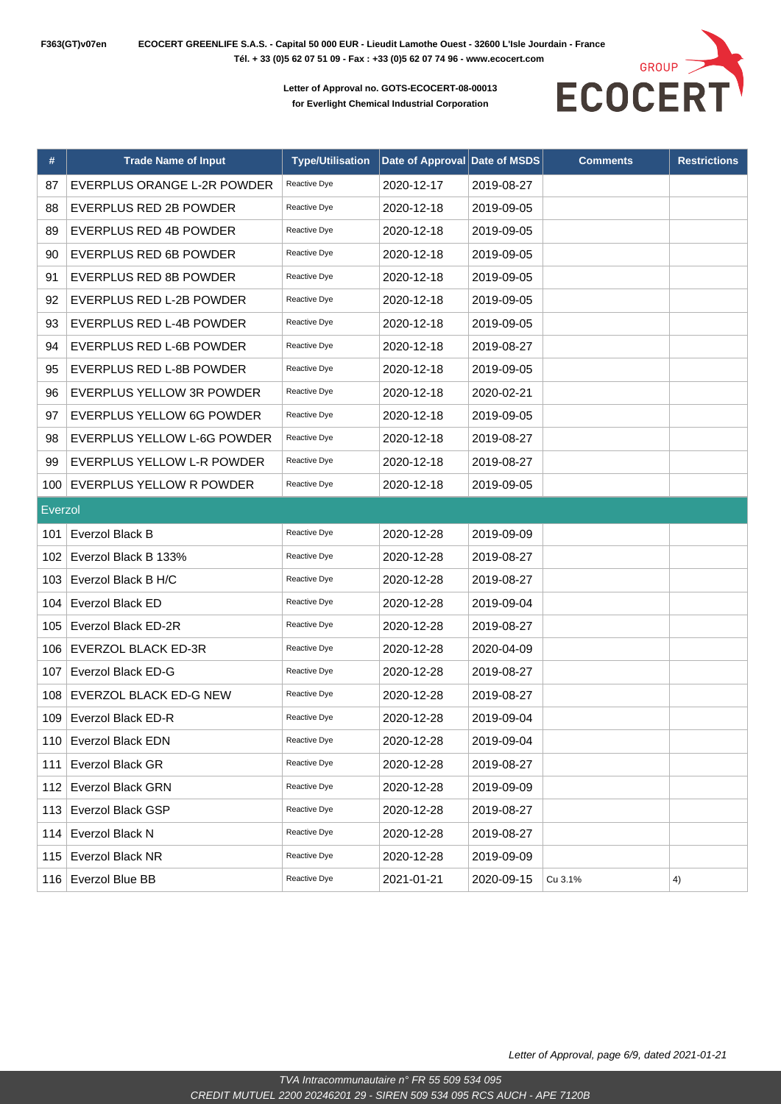

| #       | <b>Trade Name of Input</b>    | <b>Type/Utilisation</b> | Date of Approval Date of MSDS |            | <b>Comments</b> | <b>Restrictions</b> |
|---------|-------------------------------|-------------------------|-------------------------------|------------|-----------------|---------------------|
| 87      | EVERPLUS ORANGE L-2R POWDER   | Reactive Dye            | 2020-12-17                    | 2019-08-27 |                 |                     |
| 88      | EVERPLUS RED 2B POWDER        | Reactive Dye            | 2020-12-18                    | 2019-09-05 |                 |                     |
| 89      | <b>EVERPLUS RED 4B POWDER</b> | Reactive Dye            | 2020-12-18                    | 2019-09-05 |                 |                     |
| 90      | EVERPLUS RED 6B POWDER        | Reactive Dye            | 2020-12-18                    | 2019-09-05 |                 |                     |
| 91      | EVERPLUS RED 8B POWDER        | Reactive Dye            | 2020-12-18                    | 2019-09-05 |                 |                     |
| 92      | EVERPLUS RED L-2B POWDER      | Reactive Dye            | 2020-12-18                    | 2019-09-05 |                 |                     |
| 93      | EVERPLUS RED L-4B POWDER      | Reactive Dye            | 2020-12-18                    | 2019-09-05 |                 |                     |
| 94      | EVERPLUS RED L-6B POWDER      | Reactive Dye            | 2020-12-18                    | 2019-08-27 |                 |                     |
| 95      | EVERPLUS RED L-8B POWDER      | Reactive Dye            | 2020-12-18                    | 2019-09-05 |                 |                     |
| 96      | EVERPLUS YELLOW 3R POWDER     | Reactive Dye            | 2020-12-18                    | 2020-02-21 |                 |                     |
| 97      | EVERPLUS YELLOW 6G POWDER     | Reactive Dye            | 2020-12-18                    | 2019-09-05 |                 |                     |
| 98      | EVERPLUS YELLOW L-6G POWDER   | Reactive Dye            | 2020-12-18                    | 2019-08-27 |                 |                     |
| 99      | EVERPLUS YELLOW L-R POWDER    | Reactive Dye            | 2020-12-18                    | 2019-08-27 |                 |                     |
| 100     | EVERPLUS YELLOW R POWDER      | Reactive Dye            | 2020-12-18                    | 2019-09-05 |                 |                     |
| Everzol |                               |                         |                               |            |                 |                     |
| 101     | Everzol Black B               | Reactive Dye            | 2020-12-28                    | 2019-09-09 |                 |                     |
| 102     | Everzol Black B 133%          | Reactive Dye            | 2020-12-28                    | 2019-08-27 |                 |                     |
| 103     | Everzol Black B H/C           | Reactive Dye            | 2020-12-28                    | 2019-08-27 |                 |                     |
| 104     | Everzol Black ED              | Reactive Dye            | 2020-12-28                    | 2019-09-04 |                 |                     |
| 105     | Everzol Black ED-2R           | Reactive Dye            | 2020-12-28                    | 2019-08-27 |                 |                     |
| 106     | <b>EVERZOL BLACK ED-3R</b>    | Reactive Dye            | 2020-12-28                    | 2020-04-09 |                 |                     |
| 107     | Everzol Black ED-G            | Reactive Dye            | 2020-12-28                    | 2019-08-27 |                 |                     |
| 108     | EVERZOL BLACK ED-G NEW        | Reactive Dye            | 2020-12-28                    | 2019-08-27 |                 |                     |
| 109     | Everzol Black ED-R            | Reactive Dye            | 2020-12-28                    | 2019-09-04 |                 |                     |
|         | 110 Everzol Black EDN         | Reactive Dye            | 2020-12-28                    | 2019-09-04 |                 |                     |
| 111     | Everzol Black GR              | Reactive Dye            | 2020-12-28                    | 2019-08-27 |                 |                     |
| 112     | <b>Everzol Black GRN</b>      | Reactive Dye            | 2020-12-28                    | 2019-09-09 |                 |                     |
| 113     | Everzol Black GSP             | Reactive Dye            | 2020-12-28                    | 2019-08-27 |                 |                     |
| 114     | Everzol Black N               | Reactive Dye            | 2020-12-28                    | 2019-08-27 |                 |                     |
| 115     | Everzol Black NR              | Reactive Dye            | 2020-12-28                    | 2019-09-09 |                 |                     |
|         | 116 Everzol Blue BB           | Reactive Dye            | 2021-01-21                    | 2020-09-15 | Cu 3.1%         | 4)                  |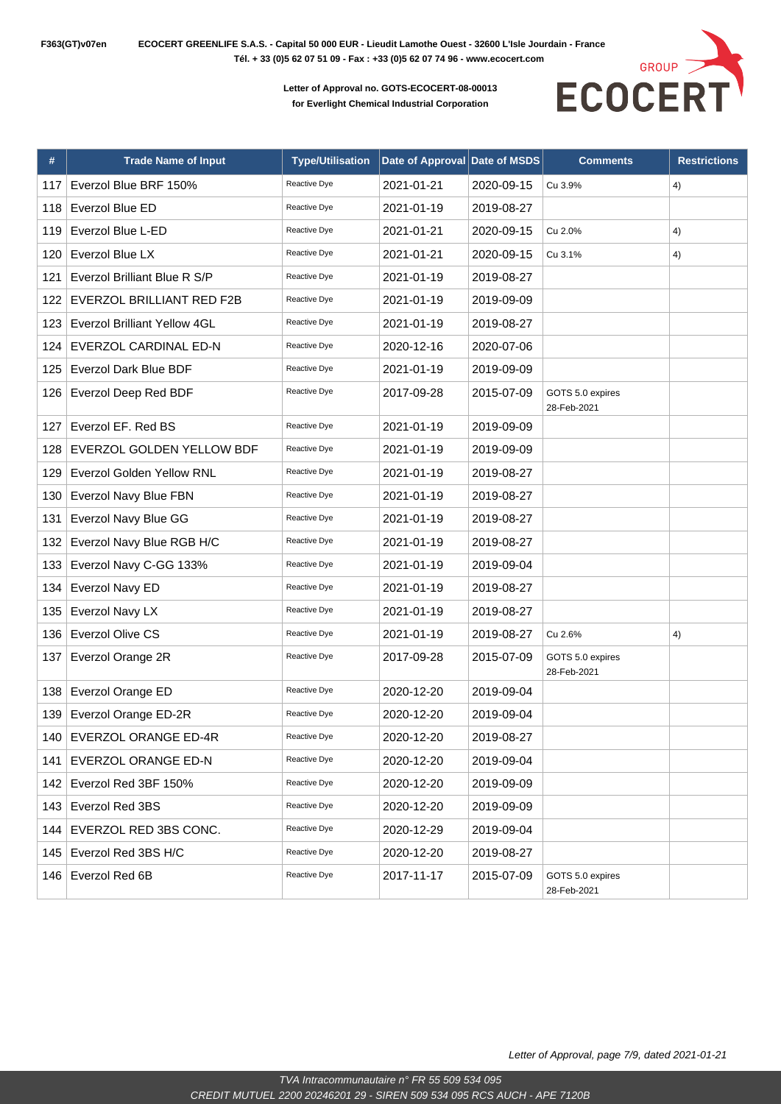

| #   | <b>Trade Name of Input</b>   | <b>Type/Utilisation</b> | Date of Approval Date of MSDS |            | <b>Comments</b>                 | <b>Restrictions</b> |
|-----|------------------------------|-------------------------|-------------------------------|------------|---------------------------------|---------------------|
| 117 | Everzol Blue BRF 150%        | Reactive Dye            | 2021-01-21                    | 2020-09-15 | Cu 3.9%                         | 4)                  |
| 118 | Everzol Blue ED              | Reactive Dye            | 2021-01-19                    | 2019-08-27 |                                 |                     |
| 119 | Everzol Blue L-ED            | Reactive Dye            | 2021-01-21                    | 2020-09-15 | Cu 2.0%                         | 4)                  |
| 120 | Everzol Blue LX              | Reactive Dye            | 2021-01-21                    | 2020-09-15 | Cu 3.1%                         | 4)                  |
| 121 | Everzol Brilliant Blue R S/P | Reactive Dye            | 2021-01-19                    | 2019-08-27 |                                 |                     |
| 122 | EVERZOL BRILLIANT RED F2B    | Reactive Dye            | 2021-01-19                    | 2019-09-09 |                                 |                     |
| 123 | Everzol Brilliant Yellow 4GL | Reactive Dye            | 2021-01-19                    | 2019-08-27 |                                 |                     |
| 124 | EVERZOL CARDINAL ED-N        | Reactive Dye            | 2020-12-16                    | 2020-07-06 |                                 |                     |
| 125 | Everzol Dark Blue BDF        | Reactive Dye            | 2021-01-19                    | 2019-09-09 |                                 |                     |
| 126 | Everzol Deep Red BDF         | Reactive Dye            | 2017-09-28                    | 2015-07-09 | GOTS 5.0 expires<br>28-Feb-2021 |                     |
| 127 | Everzol EF. Red BS           | Reactive Dye            | 2021-01-19                    | 2019-09-09 |                                 |                     |
| 128 | EVERZOL GOLDEN YELLOW BDF    | Reactive Dye            | 2021-01-19                    | 2019-09-09 |                                 |                     |
| 129 | Everzol Golden Yellow RNL    | Reactive Dye            | 2021-01-19                    | 2019-08-27 |                                 |                     |
| 130 | Everzol Navy Blue FBN        | Reactive Dye            | 2021-01-19                    | 2019-08-27 |                                 |                     |
| 131 | Everzol Navy Blue GG         | Reactive Dye            | 2021-01-19                    | 2019-08-27 |                                 |                     |
| 132 | Everzol Navy Blue RGB H/C    | Reactive Dye            | 2021-01-19                    | 2019-08-27 |                                 |                     |
| 133 | Everzol Navy C-GG 133%       | Reactive Dye            | 2021-01-19                    | 2019-09-04 |                                 |                     |
| 134 | Everzol Navy ED              | Reactive Dye            | 2021-01-19                    | 2019-08-27 |                                 |                     |
| 135 | Everzol Navy LX              | Reactive Dye            | 2021-01-19                    | 2019-08-27 |                                 |                     |
| 136 | Everzol Olive CS             | Reactive Dye            | 2021-01-19                    | 2019-08-27 | Cu 2.6%                         | 4)                  |
| 137 | Everzol Orange 2R            | Reactive Dye            | 2017-09-28                    | 2015-07-09 | GOTS 5.0 expires<br>28-Feb-2021 |                     |
| 138 | Everzol Orange ED            | Reactive Dye            | 2020-12-20                    | 2019-09-04 |                                 |                     |
| 139 | Everzol Orange ED-2R         | Reactive Dye            | 2020-12-20                    | 2019-09-04 |                                 |                     |
| 140 | EVERZOL ORANGE ED-4R         | Reactive Dye            | 2020-12-20                    | 2019-08-27 |                                 |                     |
|     | 141   EVERZOL ORANGE ED-N    | Reactive Dye            | 2020-12-20                    | 2019-09-04 |                                 |                     |
| 142 | Everzol Red 3BF 150%         | Reactive Dye            | 2020-12-20                    | 2019-09-09 |                                 |                     |
| 143 | Everzol Red 3BS              | Reactive Dye            | 2020-12-20                    | 2019-09-09 |                                 |                     |
| 144 | EVERZOL RED 3BS CONC.        | Reactive Dye            | 2020-12-29                    | 2019-09-04 |                                 |                     |
| 145 | Everzol Red 3BS H/C          | Reactive Dye            | 2020-12-20                    | 2019-08-27 |                                 |                     |
| 146 | Everzol Red 6B               | Reactive Dye            | 2017-11-17                    | 2015-07-09 | GOTS 5.0 expires<br>28-Feb-2021 |                     |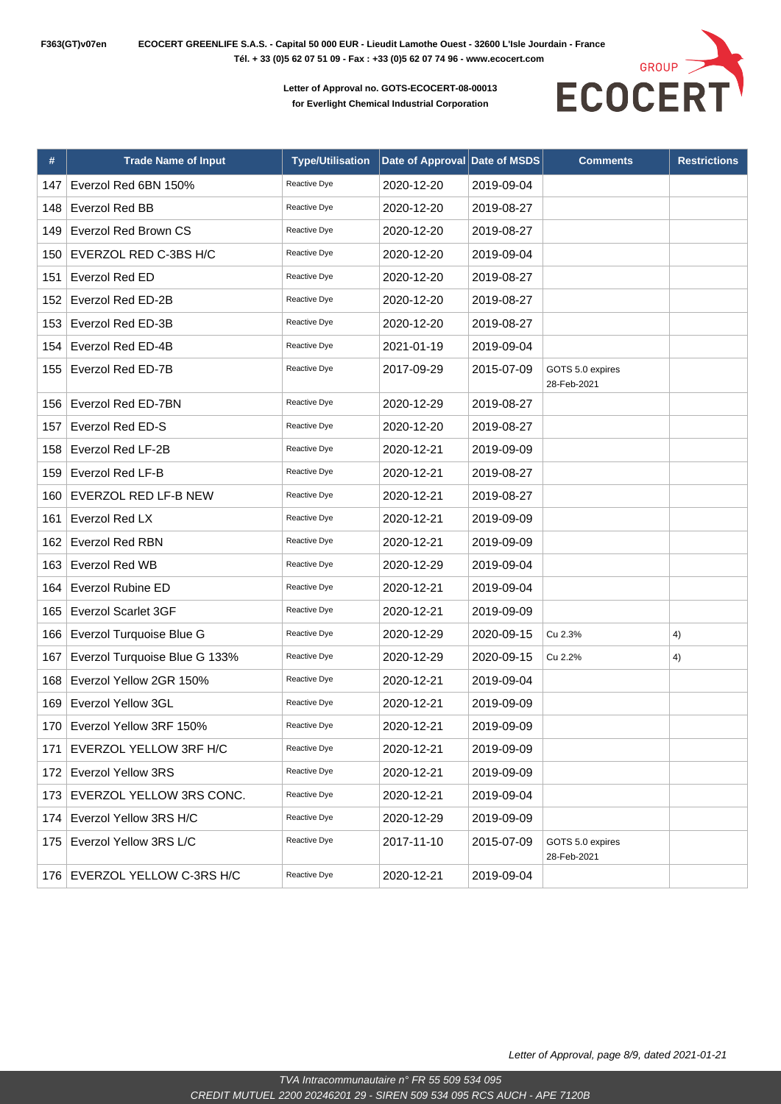

| #   | <b>Trade Name of Input</b>    | <b>Type/Utilisation</b> | Date of Approval Date of MSDS |            | <b>Comments</b>                 | <b>Restrictions</b> |
|-----|-------------------------------|-------------------------|-------------------------------|------------|---------------------------------|---------------------|
| 147 | Everzol Red 6BN 150%          | Reactive Dye            | 2020-12-20                    | 2019-09-04 |                                 |                     |
| 148 | Everzol Red BB                | Reactive Dye            | 2020-12-20                    | 2019-08-27 |                                 |                     |
| 149 | Everzol Red Brown CS          | Reactive Dye            | 2020-12-20                    | 2019-08-27 |                                 |                     |
| 150 | EVERZOL RED C-3BS H/C         | Reactive Dye            | 2020-12-20                    | 2019-09-04 |                                 |                     |
| 151 | Everzol Red ED                | Reactive Dye            | 2020-12-20                    | 2019-08-27 |                                 |                     |
| 152 | Everzol Red ED-2B             | Reactive Dye            | 2020-12-20                    | 2019-08-27 |                                 |                     |
| 153 | Everzol Red ED-3B             | Reactive Dye            | 2020-12-20                    | 2019-08-27 |                                 |                     |
| 154 | Everzol Red ED-4B             | Reactive Dye            | 2021-01-19                    | 2019-09-04 |                                 |                     |
| 155 | Everzol Red ED-7B             | Reactive Dye            | 2017-09-29                    | 2015-07-09 | GOTS 5.0 expires<br>28-Feb-2021 |                     |
| 156 | Everzol Red ED-7BN            | Reactive Dye            | 2020-12-29                    | 2019-08-27 |                                 |                     |
| 157 | <b>Everzol Red ED-S</b>       | Reactive Dye            | 2020-12-20                    | 2019-08-27 |                                 |                     |
| 158 | Everzol Red LF-2B             | Reactive Dye            | 2020-12-21                    | 2019-09-09 |                                 |                     |
| 159 | Everzol Red LF-B              | Reactive Dye            | 2020-12-21                    | 2019-08-27 |                                 |                     |
| 160 | EVERZOL RED LF-B NEW          | Reactive Dye            | 2020-12-21                    | 2019-08-27 |                                 |                     |
| 161 | Everzol Red LX                | Reactive Dye            | 2020-12-21                    | 2019-09-09 |                                 |                     |
| 162 | Everzol Red RBN               | Reactive Dye            | 2020-12-21                    | 2019-09-09 |                                 |                     |
| 163 | <b>Everzol Red WB</b>         | Reactive Dye            | 2020-12-29                    | 2019-09-04 |                                 |                     |
| 164 | <b>Everzol Rubine ED</b>      | Reactive Dye            | 2020-12-21                    | 2019-09-04 |                                 |                     |
| 165 | <b>Everzol Scarlet 3GF</b>    | Reactive Dye            | 2020-12-21                    | 2019-09-09 |                                 |                     |
| 166 | Everzol Turquoise Blue G      | Reactive Dye            | 2020-12-29                    | 2020-09-15 | Cu 2.3%                         | 4)                  |
| 167 | Everzol Turquoise Blue G 133% | Reactive Dye            | 2020-12-29                    | 2020-09-15 | Cu 2.2%                         | 4)                  |
| 168 | Everzol Yellow 2GR 150%       | Reactive Dye            | 2020-12-21                    | 2019-09-04 |                                 |                     |
| 169 | Everzol Yellow 3GL            | Reactive Dye            | 2020-12-21                    | 2019-09-09 |                                 |                     |
| 170 | Everzol Yellow 3RF 150%       | Reactive Dye            | 2020-12-21                    | 2019-09-09 |                                 |                     |
| 171 | <b>EVERZOL YELLOW 3RF H/C</b> | Reactive Dye            | 2020-12-21                    | 2019-09-09 |                                 |                     |
| 172 | <b>Everzol Yellow 3RS</b>     | Reactive Dye            | 2020-12-21                    | 2019-09-09 |                                 |                     |
| 173 | EVERZOL YELLOW 3RS CONC.      | Reactive Dye            | 2020-12-21                    | 2019-09-04 |                                 |                     |
| 174 | Everzol Yellow 3RS H/C        | Reactive Dye            | 2020-12-29                    | 2019-09-09 |                                 |                     |
| 175 | Everzol Yellow 3RS L/C        | Reactive Dye            | 2017-11-10                    | 2015-07-09 | GOTS 5.0 expires<br>28-Feb-2021 |                     |
|     | 176 EVERZOL YELLOW C-3RS H/C  | Reactive Dye            | 2020-12-21                    | 2019-09-04 |                                 |                     |